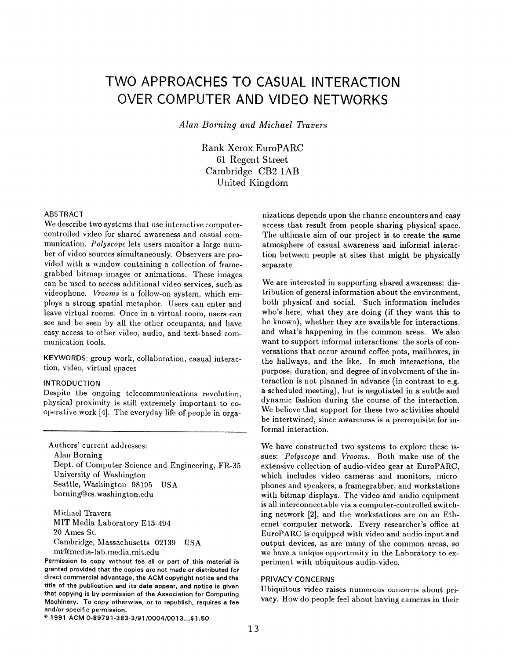# TWO APPROACHES TO CASUAL INTERACTION OVER COMPUTER AND VIDEO NETWORKS

Alan Borning and Michael Travers

Rank Xerox EuroPARC 61 Regent Street Cambridge CB2 lAB United Kingdom

## ABSTRACT

We describe two systems that use interactive computercoutrolled video for shared awareness and casual communication. Polyscope lets users monitor a large number of video sources simultaneously. Observers are provided with a window containing a collection of framegrabbed bitmap images or animations. These images can be used to access additional video services, such as videophone. Vrooms is a follow-on system, which employs a strong spatial metaphor. Users can enter and leave virtual rooms. Once in a virtual room, users can see and be seen by all the other occupants, and have easy access to other video, audio, and text-based communication tools.

KEYWORDS: group work, collaboration, casual interaction, video, virtual spaces

#### INTRODUCTION

Despite the ongoing telecommunications revolution, physical proximity is still extremely important to cooperative work [4]. The everyday life of people in orga-

Authors' current addresses:

Alan Borning Dept. of Computer Science and Engineering, FR-35 University of Washington Seattle, Washington 98195 USA borning@cs.Washington.cdu

Michael Travcrs MIT Media Laboratory E15-494 20 Ames St. Cambridge, Massachusetts 02139 USA mt@media-lab. media. mit. edu

Permission to copy without fee all or part of this material is granted provided that the copias are not made or distributed for direct commercial advantage, the ACM copyright notice and the title of the publication and its date appear, and notice is given that copying is by permission of the Association for Computing Machinery. To copy otherwise, or to republish, requires a fee and/or specific permission.

nizations depends upon the chance encounters and easy access that result from people sharing physical space. The ultimate aim of our project is to create the same atmosphere of casual awareness and informal interaction between people at sites that might be physically separate,

We are interested in supporting shared awareness: distribution of general information about the environment, both physical and social. Such information includes who's here, what they are doing (if they want this to be known), whether they are available for interactions, and what's happening in the common areas. We also want to support informal interactions: the sorts of conversations that occur around coffee pots, mailboxes, in the hallways, and the like. In such interactions, the purpose, duration, and degree of involvement of the interaction is not planned in advance (in contrast to e.g. a scheduled meeting), but is negotiated in a subtle and dynamic fashion during the course of the interaction. We believe that support for these two activities should be intertwined, since awareness is a prerequisite for informal interaction.

We have constructed two systems to explore these issues: Polyscope and Vrooms. Both make use of the extensive collection of audio-video gear at EuroPARC, which includes video cameras and monitors, microphones and speakers, a framegrabber, and workstations with bitmap displays, The video and audio equipment is all interconnectable via a computer-controlled switching network [2], and the workstations are on an Ethernet computer network. Every researcher's office at EuroPARC is equipped with video and audio input and output devices, as are many of the common areas, so we have a unique opportunity in the Laboratory to experiment with ubiquitous audio-video,

#### PRIVACY CONCERNS

Ubiquitous video raises numerous concerns about privacy. How do people feel about having cameras in their

<sup>@</sup> 1991 ACM 0-89791-383-3/91/0004/0013...\$1.50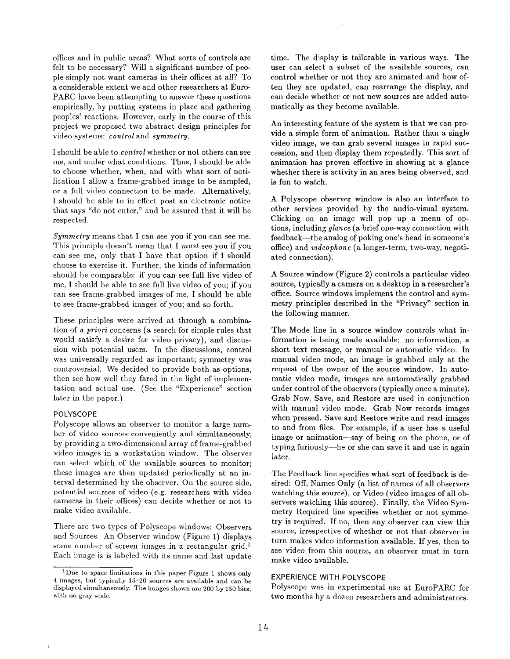offices and in public areas? What sorts of controls are felt to be necessary? Will a significant number of people simply not want cameras in their offices at all? To a considerable extent we and other researchers at Euro-PARC have been attempting to answer these questions empirically, by putting systems in place and gathering peoples' reactions. However, early in the course of this project we proposed two abstract design principles for video systems: control and symmetry.

I should be able to *control* whether or not others can see me, and under what conditions. Thus, I should be able to choose whether, when, and with what sort of notification I allow a frame-grabbed image to be sampled, or a full video connection to be made. Alternatively, I should be able to in effect post an electronic notice that says "do not enter," and be assured that it will be respected.

Symmetry means that I can see you if you can see me. This principle doesn't mean that I must see you if you can see me, only that I have that option if I should choose to exercise it. Further, the kinds of information should be comparable: if you can see full live video of me, I should be able to see full live video of you; if you can see frame-grabbed images of me, I should be able to see frame-grabbed images of you; and so forth.

These principles were arrived at through a combination of a priori concerns (a search for simple rules that would satisfy a desire for video privacy), and discussion with potential users. In the discussions, control was universally regarded as important; symmetry was controversial, We decided to provide both as options, then see how well they fared in the light of implementation and actual use. (See the "Experience" section later in the paper.)

## POLYSCOPE

Polyscope allows an observer to monitor a large number of video sources conveniently and simultaneously, by providing a two-dimensional array of frame-grabbed video images in a workstation window. The observer can select which of the available sources to monitor; these images are then updated periodically at an interval determined by the observer. On the source side, potential sources of video (e.g. researchers with video cameras in their offices) can decide whether or not to make video available.

There are two types of Polyscope windows: Observers and Sources. An Observer window (Figure 1) displays some number of screen images in a rectangular grid.<sup>1</sup> Each image is is labeled with its name and last update time. The display is tailorable in various ways. The user can select a subset of the available sources, can control whether or not they are animated and how often they are updated, can rearrange the display, and can decide whether or not new sources are added auto matically as they become available.

An interesting feature of the system is that we can provide a simple form of animation. Rather than a single video image, we can grab several images in rapid succession, and then display them repeatedly. This sort of animation has proven effective in showing at a glance whether there is activity in an area being observed, and is fun to watch.

A Polyscope observer window is also an interface to other services provided by the audio-visual system. Clicking on an image will pop up a menu of options, including *glance* (a brief one-way connection with feedback—the analog of poking one's head in someone's office) and videophone (a longer-term, two-way, negotiated connection).

A Source window (Figure 2) controls a particular video source, typically a camera on a desktop in a researcher's office. Source windows implement the control and symmetry principles described in the "Privacy" section in the following manner.

The Mode line in a source window controls what information is being made available: no information, a short text message, or manual or automatic video. In manual video mode, an image is grabbed only at the request of the owner of the source window. In automatic video mode, images are automatically grabbed under control of the observers (typically once a minute). Grab Now, Save, and Restore are used in conjunction with manual video mode. Grab Now records images when pressed. Save and Restore write and read images to and from files. For example, if a user has a useful image or animation—say of being on the phone, or of typing furiously—he or she can save it and use it again later.

The Feedback line specifies what sort of feedback is desired: Off, Names Only (a list of names of all observers watching this source), or Video (video images of all observers watching this source). Finally, the Video Symmetry Required line specifies whether or not symmetry is required. If no, then any observer can view this source, irrespective of whether or not that observer in turn makes video information available. If yes, then to see video from this source, an observer must in turn make video available.

# EXPERIENCE WITH POLYSCOPE

Polyscope was in experimental use at EuroPARC for two months by a dozen researchers and administrators.

<sup>1</sup>Due to space limitations in this paper Figure I shows only 4 images, but typically 15–20 sources are available and can be displayed simultaneously. The images shown are 200 by 150 bits, with no gray scale.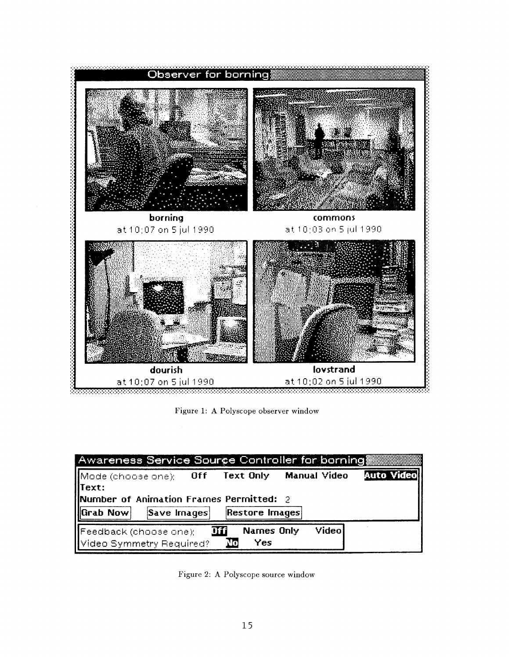

Figure 1: A Polyscope observer window

| Awareness Service Source Controller for borning             |                          |                |                        |                   |
|-------------------------------------------------------------|--------------------------|----------------|------------------------|-------------------|
| $\parallel$ Text:                                           | $Mode$ (choose one): Off |                | Text Only Manual Video | <b>Auto Video</b> |
| Number of Animation Frames Permitted: 2                     |                          |                |                        |                   |
| <b>HGrab Now</b>                                            | Save Images              | Restore Images |                        |                   |
| Feedback (choose one);<br>Video<br>Names Only<br><b>Dff</b> |                          |                |                        |                   |
| Video Symmetry Required?<br>Yes<br>Mo                       |                          |                |                        |                   |

Figure 2: A Polyscope source window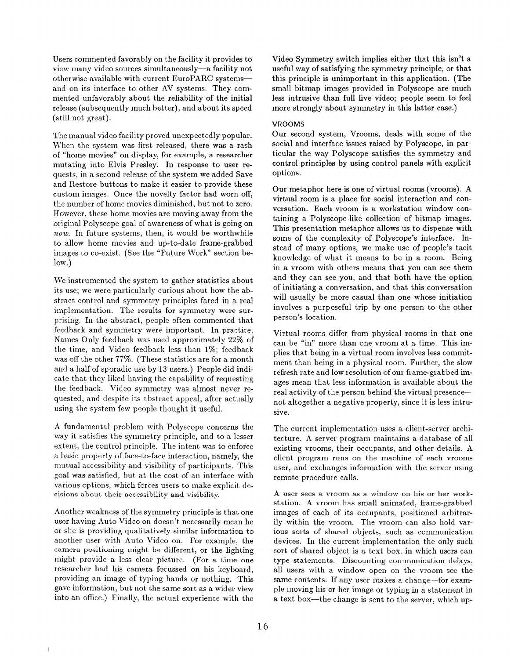Users commented favorably on the facility it provides to view many video sources simultaneously-a facility not otherwise available with current EuroPARC systems and on its interface to other AV systems. They commented unfavorably about the reliability of the initial release (subsequently much better), and about its speed (still not great).

The manual video facility proved unexpectedly popular. When the system was first released, there was a rash of "home movies" on display, for example, a researcher mutating into Elvis Presley. In response to user requests, in a second release of the system we added Save and Restore buttons to make it easier to provide these custom images. Once the novelty factor had worn off, the number of home movies diminished, but not to zero. However, these home movies are moving away from the original Polyscope goal of awareness of what is going on now. In future systems, then, it would be worthwhile to allow home movies and up-to-date frame-grabbed images to co-exist. (See the "Future Work" section below.)

We instrumented the system to gather statistics about its use; we were particularly curious about how the abstract control and symmetry principles fared in a real implementation. The results for symmetry were surprising. In the abstract, people often commented that feedback and symmetry were important. In practice, Names Only feedback was used approximately 22% of the time, and Video feedback less than  $1\%$ ; feedback was off the other  $77\%$ . (These statistics are for a month and a half of sporadic use by 13 users. ) People did indicate that they liked having the capability of requesting the feedback. Video symmetry was almost never requested, and despite its abstract appeal, after actually using the system few people thought it useful.

A fundamental problem with Polyscope concerns the way it satisfies the symmetry principle, and to a lesser extent, the control principle. The intent was to enforce a basic property of face-to-face interaction, namely, the mutual accessibility and visibility of participants. This goal was satisfied, but at the cost of an interface with various options, which forces users to make explicit decisions about their accessibility and visibility.

Another weakness of the symmetry principle is that one user having Auto Video on doesn't necessarily mean he or she is providing qualitatively similar information to another user with Auto Video on. For example, the camera positioning might be different, or the lighting might provide a less clear picture. (For a time one researcher had his camera focussed on his keyboard, providing an image of typing hands or nothing. This gave information, but not the same sort as a wider view into an office.) Finally, the actual experience with the

Video Symmetry switch implies either that this isn't a useful way of satisfying the symmetry principle, or that this principle is unimportant in this application. (The small bitmap images provided in Polyscope are much less intrusive than full live video; people seem to feel more strongly about symmetry in this latter case.)

# VROOMS

Our second system, Vrooms, deals with some of the social and interface issues raised by Polyscope, in particular the way Polyscope satisfies the symmetry and control principles by using control panels with explicit options.

Our metaphor here is one of virtual rooms (vrooms). A virtual room is a place for social interaction and conversation. Each vroom is a workstation window containing a Polyscope-like collection of bitmap images. This presentation metaphor allows us to dispense with some of the complexity of Polyscope's interface. Instead of many options, we make use of people's tacit knowledge of what it means to be in a room. Being in a vroom with others means that you can see them and they can see you, and that both have the option of initiating a conversation, and that this conversation will usually be more casual than one whose initiation involves a purposeful trip by one person to the other person's location.

Virtual rooms differ from physical rooms in that one can be "in" more than one vroom at a time. This implies that being in a virtual room involves less commitment than being in a physical room. Further, the slow refresh rate and low resolution of our frame-grabbed images mean that less information is available about the real activity of the person behind the virtual presence not altogether a negative property, since it is less intrusive.

The current implementation uses a client-server architecture. A server program maintains a database of all existing vrooms, their occupants, and other details. A client program runs on the machine of each vrooms user, and exchanges information with the server using remote procedure calls.

A user sees a vroom as a window on his or her workstation. A vroom has small animated, frame-grabbed images of each of its occupants, positioned arbitrarily within the vroom. The vroom can also hold various sorts of shared objects, such as communication devices. In the current implementation the only such sort of shared object is a text box, in which users can type statements. Discounting communication delays, all users with a window open on the vroom see the same contents. If any user makes a change-for example moving his or her image or typing in a statement in a text box—the change is sent to the server, which up-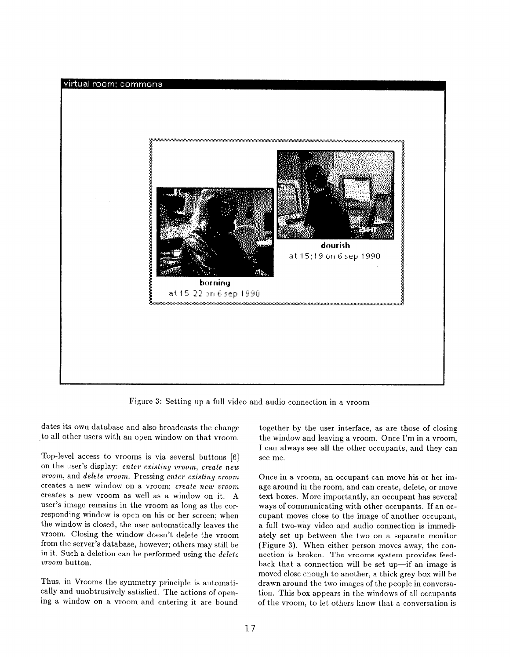

l'igure 3: Setting up a full video and audio connection in a vroom

dates its own database and also broadcasts the change to all other users with an open window on that vroom.

Top-level access to vrooms is via several buttons [6] on the user's display: enter existing vroom, create new vroom, and delete uroom. Pressing enter existing vroom creates a new window on a vroom; create new vroom creates a new vroom as well as a window on it. A user's image remains in the vroom as long as the corresponding window is open on his or her screen; when the window is closed, the user automatically leaves the vroom. Closing the window doesn't delete the vroom from the server's database, however; others may still be in it. Such a deletion can be performed using the delete *vroom* button.

Thus, in Vrooms the symmetry principle is automatically and unobtrusively satisfied. The actions of opening a window on a vroom and entering it are bound

together by the user interface, as are those of closing the window and leaving a vroom. Once I'm in a vroom, I can always see all the other occupants, and they can see me.

Once in a vroom, an occupant can move his or her image around in the room, and can create, delete, or move text boxes. More importantly, an occupant has several ways of communicating with other occupants. If an occupant moves close to the image of another occupant, a full two-way video and audio connection is immediately set up between the two on a separate monitor (Figure 3). When either person moves away, the connection is broken. The vrooms system provides feedback that a connection will be set up—if an image is moved close enough to another, a thick grey box will be drawn around the two images of the people in conversation. This box appears in the windows of all occupants of the vroom, to let others know that a conversation is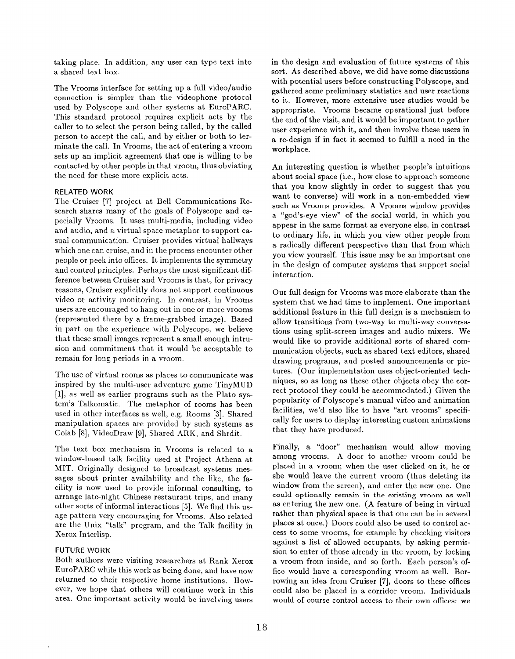taking place. In addition, any user can type text into a shared text box.

The Vrooms interface for setting up a full video/audio connection is simpler than the videophone protocol used by Polyscope and other systems at EuroPARC. This standard protocol requires explicit acts by the caller to to select the person being called, by the called person to accept the call, and by either or both to terminate the call. In Vrooms, the act of entering a vroom sets up an implicit agreement that one is willing to be contacted by other people in that vroom, thus obviating the need for these more explicit acts.

# RELATED WORK

The Cruiser [7] project at Bell Communications Research shares many of the goals of Polyscope and especially Vrooms. It uses multi-media, including video and audio, and a virtual space metaphor to support casual communication. Cruiser provides virtual hallways which one can cruise, and in the process encounter other people or peek into offices. It implements the symmetry and control principles. Perhaps the most significant difference between Cruiser and Vrooms is that, for privacy reasons, Cruiser explicitly does not support continuous video or activity monitoring. In contrast, in Vrooms users are encouraged to hang out in one or more vrooms (represented there by a frame-grabbed image). Based in part on the experience with Polyscope, we believe that these small images represent a small enough intrusion and commitment that it would be acceptable to remain for long periods in a vroom,

The use of virtual rooms as places to communicate was inspired by the multi-user adventure game TinyMUD [1], as well as earlier programs such as the Plato system's Talkomatic. The metaphor of rooms has been used in other interfaces as well, e.g. Rooms [3]. Shared manipulation spaces are provided by such systems as Colab [8], VideoDraw [9], Shared ARK, and Shrdit.

The text box mechanism in Vrooms is related to a window-based talk facility used at Project Athena at MIT. Originally designed to broadcast systems messages about printer availability and the like, the facility is now used to provide informal consulting, to arrange late-night Chinese restaurant trips, and many other sorts of informal interactions [5]. We find this usage pattern very encouraging for Vrooms. Also related are the Unix "talk" program, and the Talk facility in Xerox Interlisp.

# FUTURE WORK

Both authors were visiting researchers at Rank Xerox EuroPARC while this work as being done, and have now returned to their respective home institutions. However, we hope that others will continue work in this area. One important activity would be involving users

in the design and evaluation of future systems of this sort. As described above, we did have some discussions with potential users before constructing Polyscope, and gathered some preliminary statistics and user reactions to it. However, more extensive user studies would be appropriate. Vrooms became operational just before the end of the visit, and it would be important to gather user experience with it, and then involve these users in a re-design if in fact it seemed to fulfill a need in the workplace.

An interesting question is whether people's intuitions about social space (i.e., how close to approach someone that you know slightly in order to suggest that you want to converse) will work in a non-embedded view such as Vrooms provides. A Vrooms window provides a "god's-eye view" of the social world, in which you appear in the same format as everyone else, in contrast to ordinary life, in which you view other people from a radically different perspective than that from which you view yourself. This issue may be an important one in the design of computer systems that support social interaction.

Our full design for Vrooms was more elaborate than the system that we had time to implement. One important additional feature in this full design is a mechanism to allow transitions from two-way to multi-way conversations using split-screen images and audio mixers. We would like to provide additional sorts of shared communication objects, such as shared text editors, shared drawing programs, and posted announcements or pictures. (Our implementation uses object-oriented techniques, so as long as these other objects obey the correct protocol they could be accommodated.) Given the popularity of Polyscope's manual video and animation facilities, we'd also like to have "art vrooms" specifically for users to display interesting custom animations that they have produced.

Finally, a "door" mechanism would allow moving among vrooms. A door to another vroom could be placed in a vroom; when the user clicked on it, he or she would leave the current vroom (thus deleting its window from the screen), and enter the new one. One could optionally remain in the existing vroom as well as entering the new one. (A feature of being in virtual rather than physical space is that one can be in several places at once.) Doors could also be used to control access to some vrooms, for example by checking visitors against a list of allowed occupants, by asking permission to enter of those already in the vroom, by locking a vroom from inside, and so forth. Each person's office would have a corresponding vroom as well. Borrowing an idea from Cruiser [7], doors to these offices could also be placed in a corridor vroom. Individuals would of course control access to their own offices: we